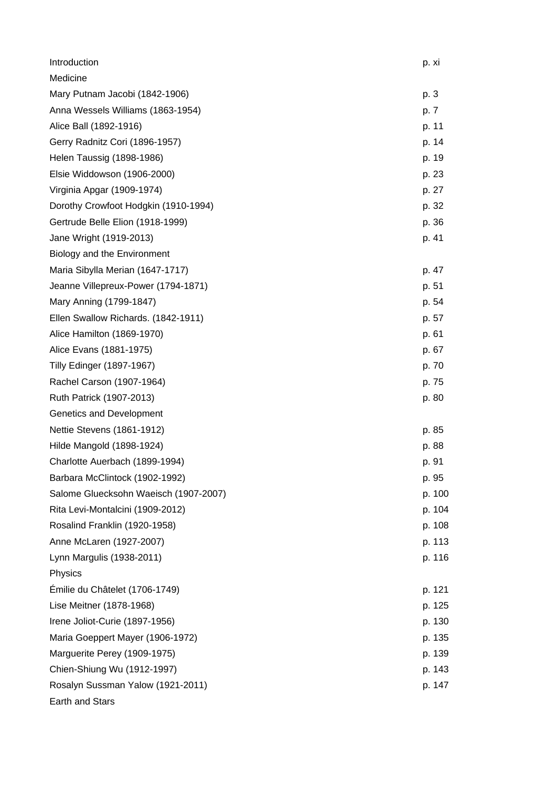| Introduction                          | p. xi  |
|---------------------------------------|--------|
| Medicine                              |        |
| Mary Putnam Jacobi (1842-1906)        | p. 3   |
| Anna Wessels Williams (1863-1954)     | p. 7   |
| Alice Ball (1892-1916)                | p. 11  |
| Gerry Radnitz Cori (1896-1957)        | p. 14  |
| Helen Taussig (1898-1986)             | p. 19  |
| Elsie Widdowson (1906-2000)           | p. 23  |
| Virginia Apgar (1909-1974)            | p. 27  |
| Dorothy Crowfoot Hodgkin (1910-1994)  | p. 32  |
| Gertrude Belle Elion (1918-1999)      | p. 36  |
| Jane Wright (1919-2013)               | p. 41  |
| Biology and the Environment           |        |
| Maria Sibylla Merian (1647-1717)      | p. 47  |
| Jeanne Villepreux-Power (1794-1871)   | p. 51  |
| Mary Anning (1799-1847)               | p. 54  |
| Ellen Swallow Richards. (1842-1911)   | p. 57  |
| Alice Hamilton (1869-1970)            | p. 61  |
| Alice Evans (1881-1975)               | p. 67  |
| <b>Tilly Edinger (1897-1967)</b>      | p. 70  |
| Rachel Carson (1907-1964)             | p. 75  |
| Ruth Patrick (1907-2013)              | p. 80  |
| Genetics and Development              |        |
| Nettie Stevens (1861-1912)            | p. 85  |
| Hilde Mangold (1898-1924)             | p. 88  |
| Charlotte Auerbach (1899-1994)        | p. 91  |
| Barbara McClintock (1902-1992)        | p. 95  |
| Salome Gluecksohn Waeisch (1907-2007) | p. 100 |
| Rita Levi-Montalcini (1909-2012)      | p. 104 |
| Rosalind Franklin (1920-1958)         | p. 108 |
| Anne McLaren (1927-2007)              | p. 113 |
| Lynn Margulis (1938-2011)             | p. 116 |
| Physics                               |        |
| Émilie du Châtelet (1706-1749)        | p. 121 |
| Lise Meitner (1878-1968)              | p. 125 |
| Irene Joliot-Curie (1897-1956)        | p. 130 |
| Maria Goeppert Mayer (1906-1972)      | p. 135 |
| Marguerite Perey (1909-1975)          | p. 139 |
| Chien-Shiung Wu (1912-1997)           | p. 143 |
| Rosalyn Sussman Yalow (1921-2011)     | p. 147 |
| Earth and Stars                       |        |